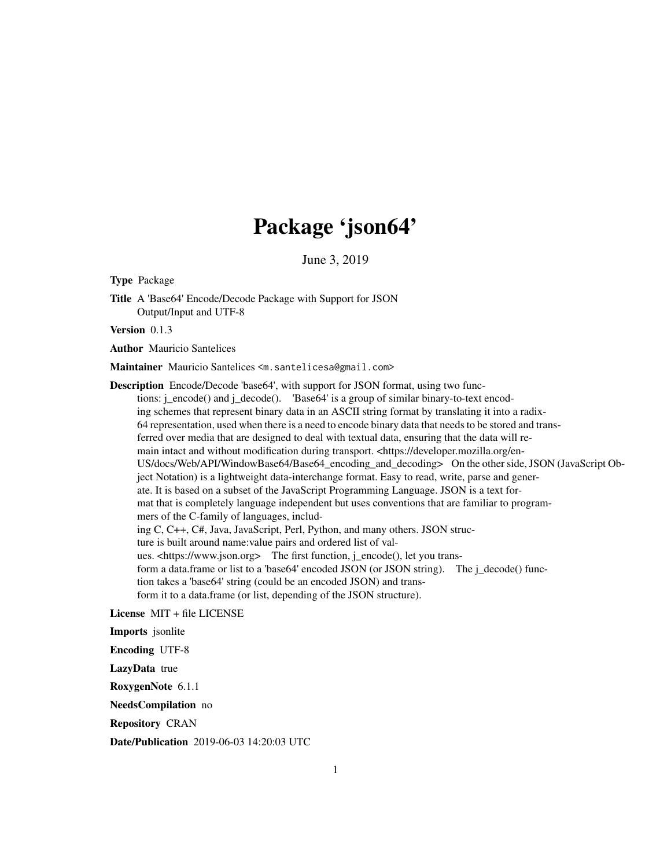## Package 'json64'

June 3, 2019

Type Package

Title A 'Base64' Encode/Decode Package with Support for JSON Output/Input and UTF-8

Version 0.1.3

Author Mauricio Santelices

Maintainer Mauricio Santelices <m. santelicesa@gmail.com>

Description Encode/Decode 'base64', with support for JSON format, using two functions: j\_encode() and j\_decode(). 'Base64' is a group of similar binary-to-text encoding schemes that represent binary data in an ASCII string format by translating it into a radix-64 representation, used when there is a need to encode binary data that needs to be stored and transferred over media that are designed to deal with textual data, ensuring that the data will remain intact and without modification during transport. <https://developer.mozilla.org/en-US/docs/Web/API/WindowBase64/Base64\_encoding\_and\_decoding> On the other side, JSON (JavaScript Object Notation) is a lightweight data-interchange format. Easy to read, write, parse and generate. It is based on a subset of the JavaScript Programming Language. JSON is a text format that is completely language independent but uses conventions that are familiar to programmers of the C-family of languages, including C, C++, C#, Java, JavaScript, Perl, Python, and many others. JSON structure is built around name:value pairs and ordered list of values. <https://www.json.org> The first function, j\_encode(), let you transform a data.frame or list to a 'base64' encoded JSON (or JSON string). The j\_decode() function takes a 'base64' string (could be an encoded JSON) and transform it to a data.frame (or list, depending of the JSON structure).

License MIT + file LICENSE

Imports jsonlite

Encoding UTF-8

LazyData true

RoxygenNote 6.1.1

NeedsCompilation no

Repository CRAN

Date/Publication 2019-06-03 14:20:03 UTC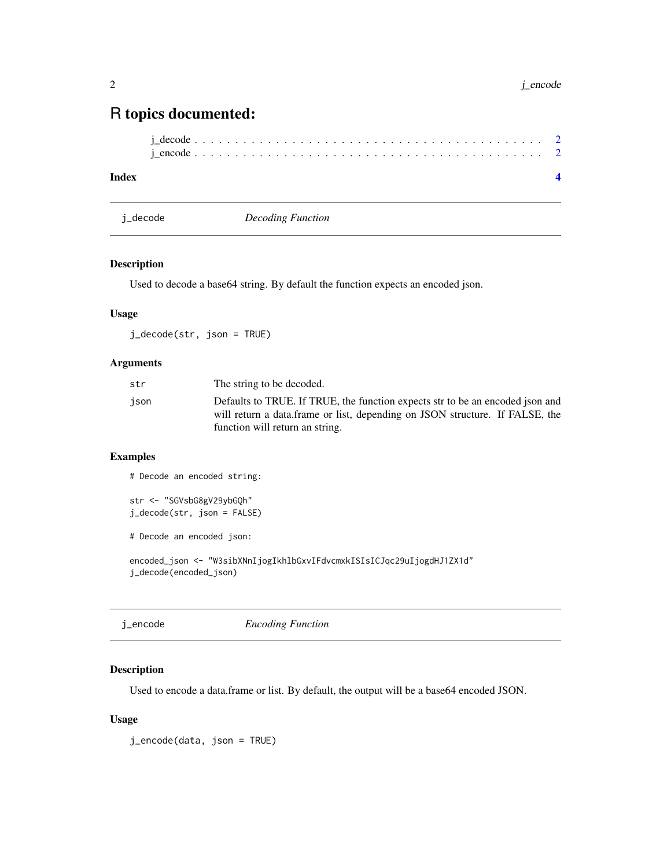### <span id="page-1-0"></span>R topics documented:

#### **Index** [4](#page-3-0)

j\_decode *Decoding Function*

#### Description

Used to decode a base64 string. By default the function expects an encoded json.

#### Usage

j\_decode(str, json = TRUE)

#### Arguments

| str  | The string to be decoded.                                                                                                                                                                        |
|------|--------------------------------------------------------------------------------------------------------------------------------------------------------------------------------------------------|
| ison | Defaults to TRUE. If TRUE, the function expects str to be an encoded json and<br>will return a data.frame or list, depending on JSON structure. If FALSE, the<br>function will return an string. |
|      |                                                                                                                                                                                                  |

#### Examples

# Decode an encoded string:

```
str <- "SGVsbG8gV29ybGQh"
j_decode(str, json = FALSE)
```
# Decode an encoded json:

encoded\_json <- "W3sibXNnIjogIkhlbGxvIFdvcmxkISIsICJqc29uIjogdHJ1ZX1d" j\_decode(encoded\_json)

| j_encode | <b>Encoding Function</b> |  |
|----------|--------------------------|--|
|          |                          |  |

#### Description

Used to encode a data.frame or list. By default, the output will be a base64 encoded JSON.

#### Usage

j\_encode(data, json = TRUE)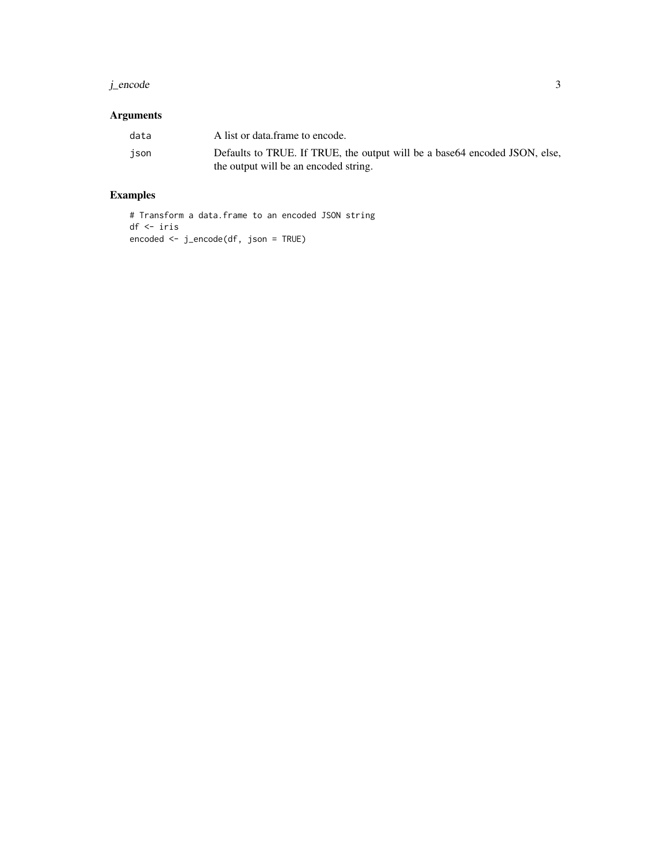#### j\_encode 3

#### Arguments

| data | A list or data frame to encode.                                             |
|------|-----------------------------------------------------------------------------|
| ison | Defaults to TRUE. If TRUE, the output will be a base 64 encoded JSON, else, |
|      | the output will be an encoded string.                                       |

#### Examples

# Transform a data.frame to an encoded JSON string df <- iris encoded <- j\_encode(df, json = TRUE)